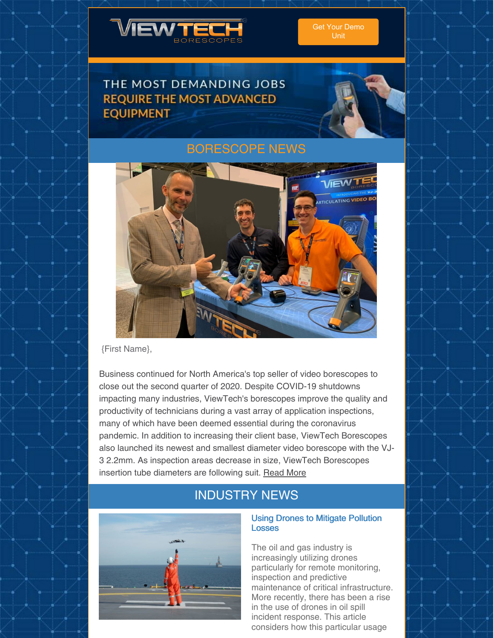

# THE MOST DEMANDING JOBS **REQUIRE THE MOST ADVANCED EQUIPMENT**



## [BORESCOPE](https://www.viewtech.com/news/?utm_source=newsletter&utm_medium=email&utm_campaign=newsletter0720) NEWS



{First Name},

Business continued for North America's top seller of video borescopes to close out the second quarter of 2020. Despite COVID-19 shutdowns impacting many industries, ViewTech's borescopes improve the quality and productivity of technicians during a vast array of application inspections, many of which have been deemed essential during the coronavirus pandemic. In addition to increasing their client base, ViewTech Borescopes also launched its newest and smallest diameter video borescope with the VJ-3 2.2mm. As inspection areas decrease in size, ViewTech Borescopes insertion tube diameters are following suit. [Read](https://www.viewtech.com/viewtech-borescopes-finishes-2020-2nd-quarter-with-new-clients-and-announcement-of-smallest-vj-3-video-borescope/?utm_source=newsletter&utm_medium=email&utm_campaign=newsletter0720) More

# INDUSTRY NEWS



## Using Drones to Mitigate Pollution Losses

The oil and gas industry is increasingly utilizing drones particularly for remote monitoring, inspection and predictive maintenance of critical infrastructure. More recently, there has been a rise in the use of drones in oil spill incident response. This article considers how this particular usage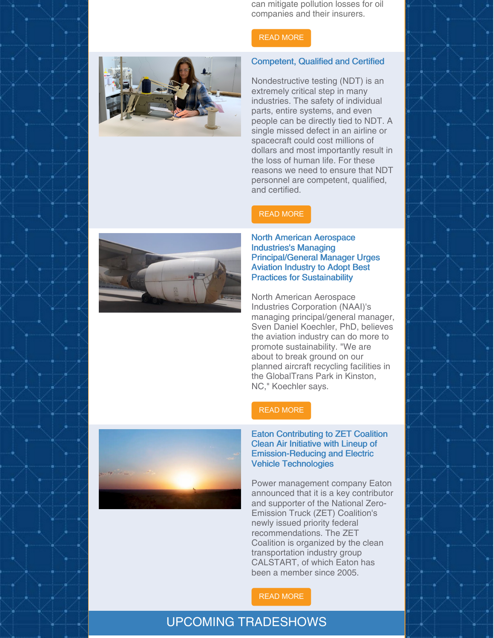can mitigate pollution losses for oil companies and their insurers.

#### READ [MORE](https://www.energyvoice.com/opinion/251996/using-drones-to-mitigate-pollution-losses/)

#### Competent, Qualified and Certified

Nondestructive testing (NDT) is an extremely critical step in many industries. The safety of individual parts, entire systems, and even people can be directly tied to NDT. A single missed defect in an airline or spacecraft could cost millions of dollars and most importantly result in the loss of human life. For these reasons we need to ensure that NDT personnel are competent, qualified, and certified.

### READ [MORE](https://www.qualitymag.com/articles/96106-competent-qualified-and-certified?oly_enc_id=7121J1698590F4R)



North American Aerospace Industries's Managing Principal/General Manager Urges Aviation Industry to Adopt Best Practices for Sustainability

North American Aerospace Industries Corporation (NAAI)'s managing principal/general manager, Sven Daniel Koechler, PhD, believes the aviation industry can do more to promote sustainability. "We are about to break ground on our planned aircraft recycling facilities in the GlobalTrans Park in Kinston, NC," Koechler says.

### READ [MORE](https://www.avm-mag.com/north-american-aerospace-industriess-managing-principal-general-manager-urges-aviation-industry-to-adopt-best-practices-for-sustainability/)

Eaton Contributing to ZET Coalition Clean Air Initiative with Lineup of Emission-Reducing and Electric Vehicle Technologies

Power management company Eaton announced that it is a key contributor and supporter of the National Zero-Emission Truck (ZET) Coalition's newly issued priority federal recommendations. The ZET Coalition is organized by the clean transportation industry group CALSTART, of which Eaton has been a member since 2005.

#### READ [MORE](https://www.altenergymag.com/content.php?post=33444)

## UPCOMING TRADESHOWS